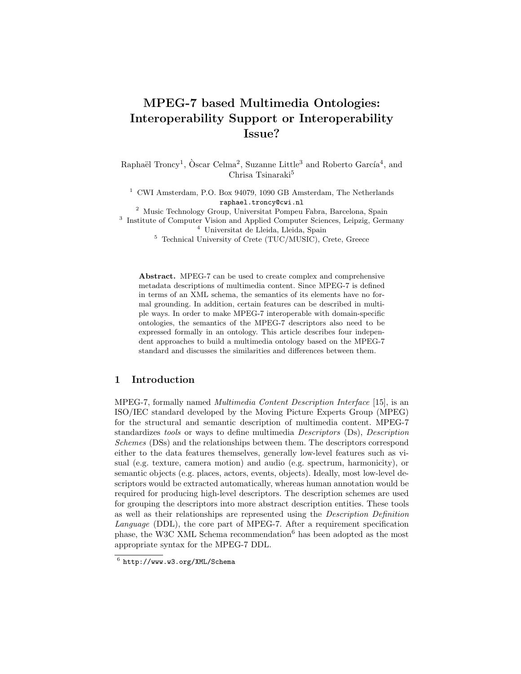# MPEG-7 based Multimedia Ontologies: Interoperability Support or Interoperability Issue?

Raphaël Troncy<sup>1</sup>, Òscar Celma<sup>2</sup>, Suzanne Little<sup>3</sup> and Roberto García<sup>4</sup>, and Chrisa Tsinaraki<sup>5</sup>

<sup>1</sup> CWI Amsterdam, P.O. Box 94079, 1090 GB Amsterdam, The Netherlands raphael.troncy@cwi.nl

<sup>2</sup> Music Technology Group, Universitat Pompeu Fabra, Barcelona, Spain

<sup>3</sup> Institute of Computer Vision and Applied Computer Sciences, Leipzig, Germany <sup>4</sup> Universitat de Lleida, Lleida, Spain

<sup>5</sup> Technical University of Crete (TUC/MUSIC), Crete, Greece

Abstract. MPEG-7 can be used to create complex and comprehensive metadata descriptions of multimedia content. Since MPEG-7 is defined in terms of an XML schema, the semantics of its elements have no formal grounding. In addition, certain features can be described in multiple ways. In order to make MPEG-7 interoperable with domain-specific ontologies, the semantics of the MPEG-7 descriptors also need to be expressed formally in an ontology. This article describes four independent approaches to build a multimedia ontology based on the MPEG-7 standard and discusses the similarities and differences between them.

# 1 Introduction

MPEG-7, formally named Multimedia Content Description Interface [15], is an ISO/IEC standard developed by the Moving Picture Experts Group (MPEG) for the structural and semantic description of multimedia content. MPEG-7 standardizes tools or ways to define multimedia Descriptors (Ds), Description Schemes (DSs) and the relationships between them. The descriptors correspond either to the data features themselves, generally low-level features such as visual (e.g. texture, camera motion) and audio (e.g. spectrum, harmonicity), or semantic objects (e.g. places, actors, events, objects). Ideally, most low-level descriptors would be extracted automatically, whereas human annotation would be required for producing high-level descriptors. The description schemes are used for grouping the descriptors into more abstract description entities. These tools as well as their relationships are represented using the Description Definition Language (DDL), the core part of MPEG-7. After a requirement specification phase, the W3C XML Schema recommendation<sup>6</sup> has been adopted as the most appropriate syntax for the MPEG-7 DDL.

 $^6$  http://www.w3.org/XML/Schema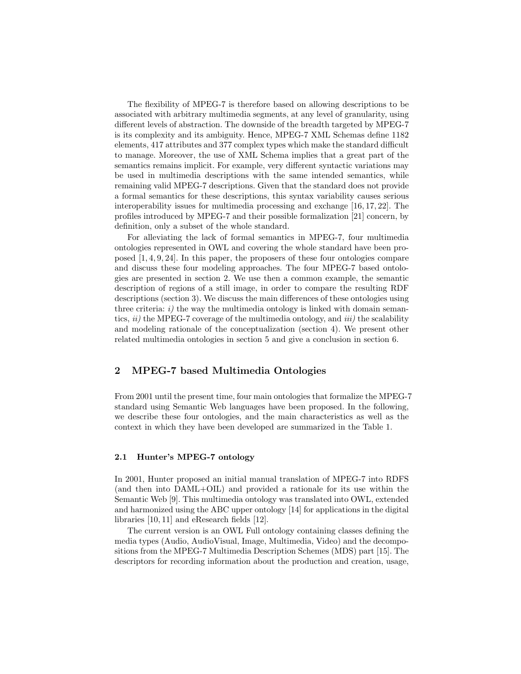The flexibility of MPEG-7 is therefore based on allowing descriptions to be associated with arbitrary multimedia segments, at any level of granularity, using different levels of abstraction. The downside of the breadth targeted by MPEG-7 is its complexity and its ambiguity. Hence, MPEG-7 XML Schemas define 1182 elements, 417 attributes and 377 complex types which make the standard difficult to manage. Moreover, the use of XML Schema implies that a great part of the semantics remains implicit. For example, very different syntactic variations may be used in multimedia descriptions with the same intended semantics, while remaining valid MPEG-7 descriptions. Given that the standard does not provide a formal semantics for these descriptions, this syntax variability causes serious interoperability issues for multimedia processing and exchange [16, 17, 22]. The profiles introduced by MPEG-7 and their possible formalization [21] concern, by definition, only a subset of the whole standard.

For alleviating the lack of formal semantics in MPEG-7, four multimedia ontologies represented in OWL and covering the whole standard have been proposed [1, 4, 9, 24]. In this paper, the proposers of these four ontologies compare and discuss these four modeling approaches. The four MPEG-7 based ontologies are presented in section 2. We use then a common example, the semantic description of regions of a still image, in order to compare the resulting RDF descriptions (section 3). We discuss the main differences of these ontologies using three criteria:  $i$ ) the way the multimedia ontology is linked with domain semantics,  $ii)$  the MPEG-7 coverage of the multimedia ontology, and  $iii)$  the scalability and modeling rationale of the conceptualization (section 4). We present other related multimedia ontologies in section 5 and give a conclusion in section 6.

# 2 MPEG-7 based Multimedia Ontologies

From 2001 until the present time, four main ontologies that formalize the MPEG-7 standard using Semantic Web languages have been proposed. In the following, we describe these four ontologies, and the main characteristics as well as the context in which they have been developed are summarized in the Table 1.

## 2.1 Hunter's MPEG-7 ontology

In 2001, Hunter proposed an initial manual translation of MPEG-7 into RDFS (and then into DAML+OIL) and provided a rationale for its use within the Semantic Web [9]. This multimedia ontology was translated into OWL, extended and harmonized using the ABC upper ontology [14] for applications in the digital libraries [10, 11] and eResearch fields [12].

The current version is an OWL Full ontology containing classes defining the media types (Audio, AudioVisual, Image, Multimedia, Video) and the decompositions from the MPEG-7 Multimedia Description Schemes (MDS) part [15]. The descriptors for recording information about the production and creation, usage,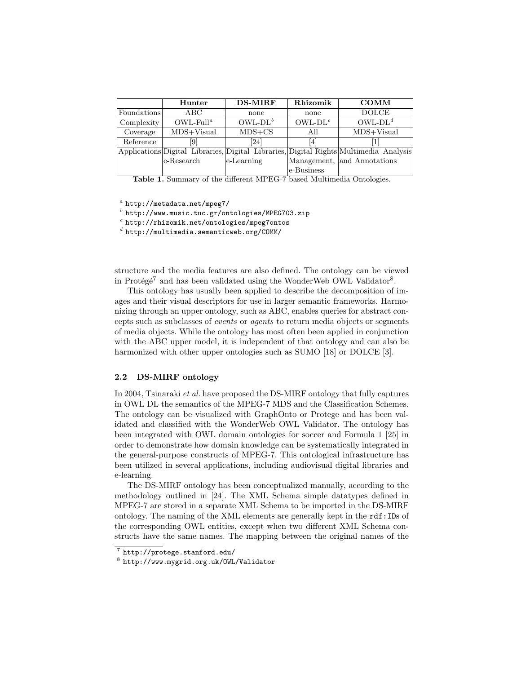|             | Hunter                   | <b>DS-MIRF</b> | Rhizomik   | <b>COMM</b>                                                                           |  |
|-------------|--------------------------|----------------|------------|---------------------------------------------------------------------------------------|--|
| Foundations | ABC.                     | none           | none       | <b>DOLCE</b>                                                                          |  |
| Complexity  | $OWL$ -Full <sup>a</sup> | $OWL-DL^b$     | $OWL-DLc$  | $OWL-DL^d$                                                                            |  |
| Coverage    | $MDS+Visual$             | $MDS + CS$     | All        | $MDS+Visual$                                                                          |  |
| Reference   | 9                        | [24]           | 4          |                                                                                       |  |
|             |                          |                |            | Applications Digital Libraries, Digital Libraries, Digital Rights Multimedia Analysis |  |
|             | le-Research              | $e$ -Learning  |            | Management, and Annotations                                                           |  |
|             |                          |                | e-Business |                                                                                       |  |

Table 1. Summary of the different MPEG-7 based Multimedia Ontologies.

 $a$  http://metadata.net/mpeg7/

 $^b$  http://www.music.tuc.gr/ontologies/MPEG703.zip

 $c$  http://rhizomik.net/ontologies/mpeg7ontos

 $^d$  http://multimedia.semanticweb.org/COMM/

structure and the media features are also defined. The ontology can be viewed in Protégé<sup>7</sup> and has been validated using the WonderWeb OWL Validator<sup>8</sup>.

This ontology has usually been applied to describe the decomposition of images and their visual descriptors for use in larger semantic frameworks. Harmonizing through an upper ontology, such as ABC, enables queries for abstract concepts such as subclasses of events or agents to return media objects or segments of media objects. While the ontology has most often been applied in conjunction with the ABC upper model, it is independent of that ontology and can also be harmonized with other upper ontologies such as SUMO [18] or DOLCE [3].

#### 2.2 DS-MIRF ontology

In 2004, Tsinaraki et al. have proposed the DS-MIRF ontology that fully captures in OWL DL the semantics of the MPEG-7 MDS and the Classification Schemes. The ontology can be visualized with GraphOnto or Protege and has been validated and classified with the WonderWeb OWL Validator. The ontology has been integrated with OWL domain ontologies for soccer and Formula 1 [25] in order to demonstrate how domain knowledge can be systematically integrated in the general-purpose constructs of MPEG-7. This ontological infrastructure has been utilized in several applications, including audiovisual digital libraries and e-learning.

The DS-MIRF ontology has been conceptualized manually, according to the methodology outlined in [24]. The XML Schema simple datatypes defined in MPEG-7 are stored in a separate XML Schema to be imported in the DS-MIRF ontology. The naming of the XML elements are generally kept in the rdf:IDs of the corresponding OWL entities, except when two different XML Schema constructs have the same names. The mapping between the original names of the

 $\frac{7}{7}$  http://protege.stanford.edu/

<sup>8</sup> http://www.mygrid.org.uk/OWL/Validator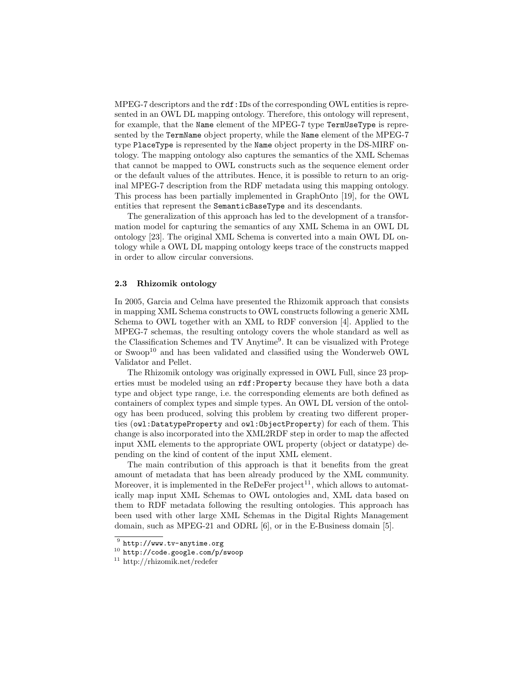MPEG-7 descriptors and the rdf:IDs of the corresponding OWL entities is represented in an OWL DL mapping ontology. Therefore, this ontology will represent, for example, that the Name element of the MPEG-7 type TermUseType is represented by the TermName object property, while the Name element of the MPEG-7 type PlaceType is represented by the Name object property in the DS-MIRF ontology. The mapping ontology also captures the semantics of the XML Schemas that cannot be mapped to OWL constructs such as the sequence element order or the default values of the attributes. Hence, it is possible to return to an original MPEG-7 description from the RDF metadata using this mapping ontology. This process has been partially implemented in GraphOnto [19], for the OWL entities that represent the SemanticBaseType and its descendants.

The generalization of this approach has led to the development of a transformation model for capturing the semantics of any XML Schema in an OWL DL ontology [23]. The original XML Schema is converted into a main OWL DL ontology while a OWL DL mapping ontology keeps trace of the constructs mapped in order to allow circular conversions.

#### 2.3 Rhizomik ontology

In 2005, Garcia and Celma have presented the Rhizomik approach that consists in mapping XML Schema constructs to OWL constructs following a generic XML Schema to OWL together with an XML to RDF conversion [4]. Applied to the MPEG-7 schemas, the resulting ontology covers the whole standard as well as the Classification Schemes and TV Anytime<sup>9</sup>. It can be visualized with Protege or Swoop<sup>10</sup> and has been validated and classified using the Wonderweb OWL Validator and Pellet.

The Rhizomik ontology was originally expressed in OWL Full, since 23 properties must be modeled using an rdf:Property because they have both a data type and object type range, i.e. the corresponding elements are both defined as containers of complex types and simple types. An OWL DL version of the ontology has been produced, solving this problem by creating two different properties (owl:DatatypeProperty and owl:ObjectProperty) for each of them. This change is also incorporated into the XML2RDF step in order to map the affected input XML elements to the appropriate OWL property (object or datatype) depending on the kind of content of the input XML element.

The main contribution of this approach is that it benefits from the great amount of metadata that has been already produced by the XML community. Moreover, it is implemented in the ReDeFer project<sup>11</sup>, which allows to automatically map input XML Schemas to OWL ontologies and, XML data based on them to RDF metadata following the resulting ontologies. This approach has been used with other large XML Schemas in the Digital Rights Management domain, such as MPEG-21 and ODRL [6], or in the E-Business domain [5].

 $^9$  http://www.tv-anytime.org

 $10$  http://code.google.com/p/swoop

<sup>11</sup> http://rhizomik.net/redefer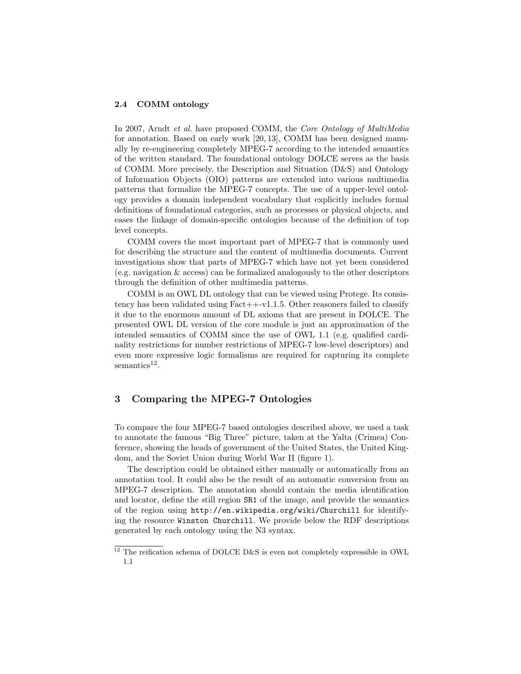#### 2.4 COMM ontology

In 2007, Arndt et al. have proposed COMM, the Core Ontology of MultiMedia for annotation. Based on early work [20, 13], COMM has been designed manually by re-engineering completely MPEG-7 according to the intended semantics of the written standard. The foundational ontology DOLCE serves as the basis of COMM. More precisely, the Description and Situation (D&S) and Ontology of Information Objects (OIO) patterns are extended into various multimedia patterns that formalize the MPEG-7 concepts. The use of a upper-level ontology provides a domain independent vocabulary that explicitly includes formal definitions of foundational categories, such as processes or physical objects, and eases the linkage of domain-specific ontologies because of the definition of top level concepts.

COMM covers the most important part of MPEG-7 that is commonly used for describing the structure and the content of multimedia documents. Current investigations show that parts of MPEG-7 which have not yet been considered (e.g. navigation & access) can be formalized analogously to the other descriptors through the definition of other multimedia patterns.

COMM is an OWL DL ontology that can be viewed using Protege. Its consistency has been validated using  $Fact++-vl.1.5$ . Other reasoners failed to classify it due to the enormous amount of DL axioms that are present in DOLCE. The presented OWL DL version of the core module is just an approximation of the intended semantics of COMM since the use of OWL 1.1 (e.g. qualified cardinality restrictions for number restrictions of MPEG-7 low-level descriptors) and even more expressive logic formalisms are required for capturing its complete semantics<sup>12</sup>.

# 3 Comparing the MPEG-7 Ontologies

To compare the four MPEG-7 based ontologies described above, we used a task to annotate the famous "Big Three" picture, taken at the Yalta (Crimea) Conference, showing the heads of government of the United States, the United Kingdom, and the Soviet Union during World War II (figure 1).

The description could be obtained either manually or automatically from an annotation tool. It could also be the result of an automatic conversion from an MPEG-7 description. The annotation should contain the media identification and locator, define the still region SR1 of the image, and provide the semantics of the region using http://en.wikipedia.org/wiki/Churchill for identifying the resource Winston Churchill. We provide below the RDF descriptions generated by each ontology using the N3 syntax.

 $12$  The reification schema of DOLCE D&S is even not completely expressible in OWL 1.1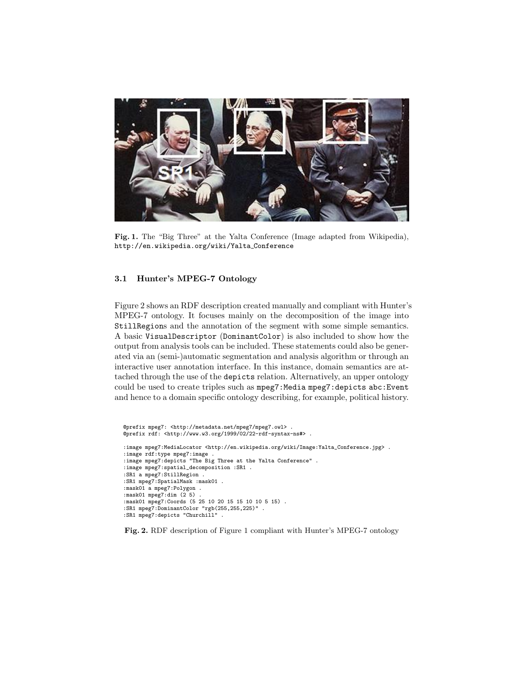

Fig. 1. The "Big Three" at the Yalta Conference (Image adapted from Wikipedia), http://en.wikipedia.org/wiki/Yalta Conference

# 3.1 Hunter's MPEG-7 Ontology

Figure 2 shows an RDF description created manually and compliant with Hunter's MPEG-7 ontology. It focuses mainly on the decomposition of the image into StillRegions and the annotation of the segment with some simple semantics. A basic VisualDescriptor (DominantColor) is also included to show how the output from analysis tools can be included. These statements could also be generated via an (semi-)automatic segmentation and analysis algorithm or through an interactive user annotation interface. In this instance, domain semantics are attached through the use of the depicts relation. Alternatively, an upper ontology could be used to create triples such as mpeg7: Media mpeg7: depicts abc: Event and hence to a domain specific ontology describing, for example, political history.

```
@prefix mpeg7: <http://metadata.net/mpeg7/mpeg7.owl> .
@prefix rdf: <http://www.w3.org/1999/02/22-rdf-syntax-ns#> .
: image mpeg7:MediaLocator <http://en.wikipedia.org/wiki/Image:Yalta_Conference.jpg> .
:image rdf:type mpeg7:image .
:image mpeg7:depicts "The Big Three at the Yalta Conference" .
:image mpeg7:spatial_decomposition :SR1 .
:SR1 a mpeg7:StillRegion .
:SR1 mpeg7:SpatialMask :mask01 .
:mask01 a mpeg7:Polygon .
:mask01 mpeg7:dim (2 5)
:mask01 mpeg7:Coords (5 25 10 20 15 15 10 10 5 15) .
:SR1 mpeg7:DominantColor "rgb(255,255,225)" .
:SR1 mpeg7:depicts "Churchill" .
```
Fig. 2. RDF description of Figure 1 compliant with Hunter's MPEG-7 ontology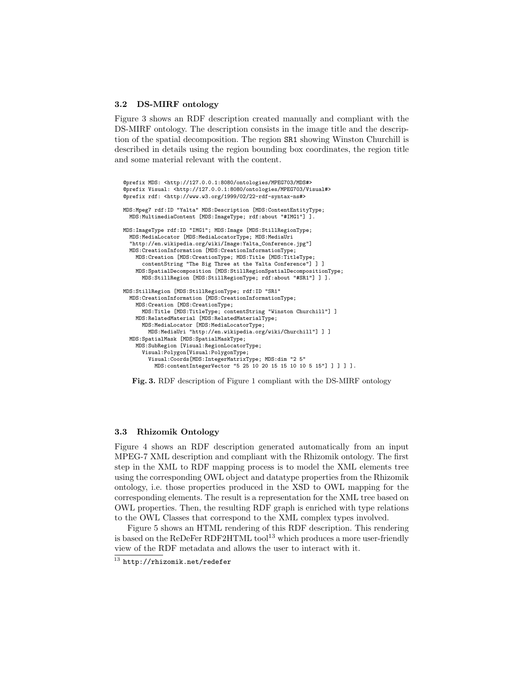#### 3.2 DS-MIRF ontology

Figure 3 shows an RDF description created manually and compliant with the DS-MIRF ontology. The description consists in the image title and the description of the spatial decomposition. The region SR1 showing Winston Churchill is described in details using the region bounding box coordinates, the region title and some material relevant with the content.

```
@prefix MDS: <http://127.0.0.1:8080/ontologies/MPEG703/MDS#>
@prefix Visual: <http://127.0.0.1:8080/ontologies/MPEG703/Visual#>
@prefix rdf: <http://www.w3.org/1999/02/22-rdf-syntax-ns#>
MDS:Mpeg7 rdf:ID "Yalta" MDS:Description [MDS:ContentEntityType;
 MDS:MultimediaContent [MDS:ImageType; rdf:about "#IMG1"] ].
MDS:ImageType rdf:ID "IMG1"; MDS:Image [MDS:StillRegionType;
 MDS:MediaLocator [MDS:MediaLocatorType; MDS:MediaUri
  "http://en.wikipedia.org/wiki/Image:Yalta_Conference.jpg"]
 MDS:CreationInformation [MDS:CreationInformationType;
   MDS:Creation [MDS:CreationType; MDS:Title [MDS:TitleType;
      contentString "The Big Three at the Yalta Conference"] ] ]
    MDS:SpatialDecomposition [MDS:StillRegionSpatialDecompositionType;
     MDS:StillRegion [MDS:StillRegionType; rdf:about "#SR1"] ] ].
MDS:StillRegion [MDS:StillRegionType; rdf:ID "SR1"
  MDS:CreationInformation [MDS:CreationInformationType;
    MDS:Creation [MDS:CreationType;
     MDS:Title [MDS:TitleType; contentString "Winston Churchill"] ]
    MDS:RelatedMaterial [MDS:RelatedMaterialType;
     MDS:MediaLocator [MDS:MediaLocatorType;
       MDS:MediaUri "http://en.wikipedia.org/wiki/Churchill"] ] ]
 MDS:SpatialMask [MDS:SpatialMaskType;
    MDS:SubRegion [Visual:RegionLocatorType;
      Visual:Polygon[Visual:PolygonType;
        Visual:Coords[MDS:IntegerMatrixType; MDS:dim "2 5"
          MDS:contentIntegerVector "5 25 10 20 15 15 10 10 5 15"] ] ] ] ].
```


#### 3.3 Rhizomik Ontology

Figure 4 shows an RDF description generated automatically from an input MPEG-7 XML description and compliant with the Rhizomik ontology. The first step in the XML to RDF mapping process is to model the XML elements tree using the corresponding OWL object and datatype properties from the Rhizomik ontology, i.e. those properties produced in the XSD to OWL mapping for the corresponding elements. The result is a representation for the XML tree based on OWL properties. Then, the resulting RDF graph is enriched with type relations to the OWL Classes that correspond to the XML complex types involved.

Figure 5 shows an HTML rendering of this RDF description. This rendering is based on the ReDeFer RDF2HTML tool<sup>13</sup> which produces a more user-friendly view of the RDF metadata and allows the user to interact with it.

 $\frac{13}{13}$  http://rhizomik.net/redefer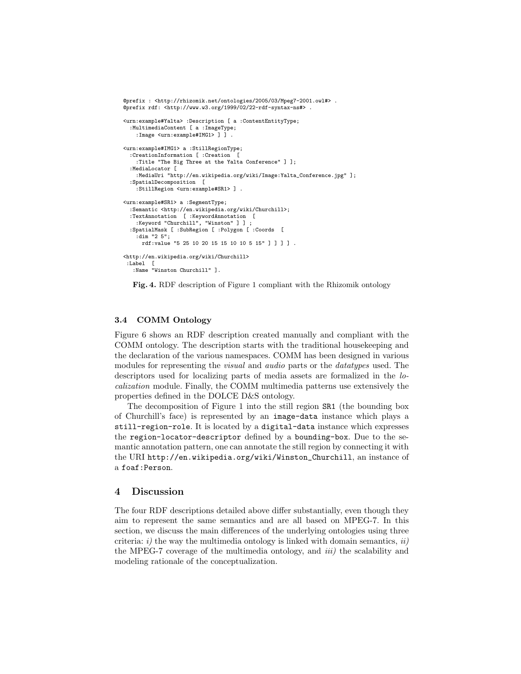```
@prefix : <http://rhizomik.net/ontologies/2005/03/Mpeg7-2001.owl#> .
@prefix rdf: <http://www.w3.org/1999/02/22-rdf-syntax-ns#> .
<urn:example#Yalta> :Description [ a :ContentEntityType;
  :MultimediaContent [ a :ImageType;
    :Image <urn:example#IMG1> ] ] .
<urn:example#IMG1> a :StillRegionType;
  :CreationInformation [ :Creation [
    :Title "The Big Three at the Yalta Conference" ] ];
  :MediaLocator [
    :MediaUri "http://en.wikipedia.org/wiki/Image:Yalta_Conference.jpg" ];
  :SpatialDecomposition [
    :StillRegion <urn:example#SR1> ] .
<urn:example#SR1> a :SegmentType;
  :Semantic <http://en.wikipedia.org/wiki/Churchill>;
  :TextAnnotation [ :KeywordAnnotation [
    :Keyword "Churchill", "Winston" ] ] ;
  :SpatialMask [ :SubRegion [ :Polygon [ :Coords [
    :dim "2 5";
     rdf:value "5 25 10 20 15 15 10 10 5 15" ] ] ] ] .
<http://en.wikipedia.org/wiki/Churchill>
 :Label [
   :Name "Winston Churchill" ].
```
Fig. 4. RDF description of Figure 1 compliant with the Rhizomik ontology

## 3.4 COMM Ontology

Figure 6 shows an RDF description created manually and compliant with the COMM ontology. The description starts with the traditional housekeeping and the declaration of the various namespaces. COMM has been designed in various modules for representing the *visual* and *audio* parts or the *datatypes* used. The descriptors used for localizing parts of media assets are formalized in the localization module. Finally, the COMM multimedia patterns use extensively the properties defined in the DOLCE D&S ontology.

The decomposition of Figure 1 into the still region SR1 (the bounding box of Churchill's face) is represented by an image-data instance which plays a still-region-role. It is located by a digital-data instance which expresses the region-locator-descriptor defined by a bounding-box. Due to the semantic annotation pattern, one can annotate the still region by connecting it with the URI http://en.wikipedia.org/wiki/Winston\_Churchill, an instance of a foaf:Person.

# 4 Discussion

The four RDF descriptions detailed above differ substantially, even though they aim to represent the same semantics and are all based on MPEG-7. In this section, we discuss the main differences of the underlying ontologies using three criteria:  $i)$  the way the multimedia ontology is linked with domain semantics,  $ii)$ the MPEG-7 coverage of the multimedia ontology, and *iii*) the scalability and modeling rationale of the conceptualization.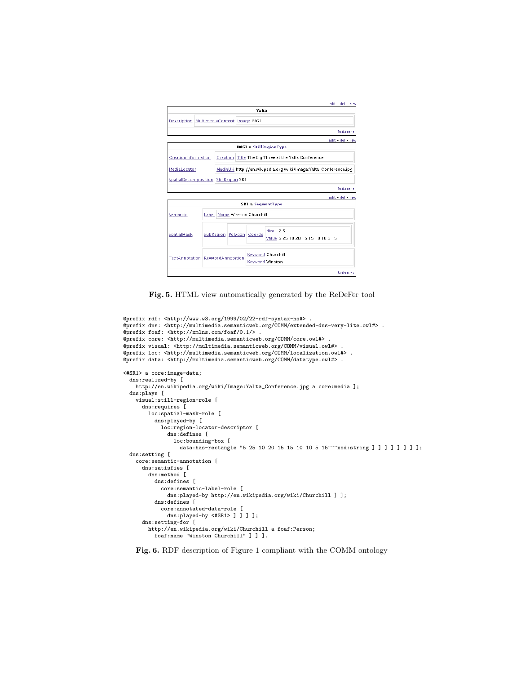|                                          |  |                                                                  |                                             |                              | edit del new                                |  |  |
|------------------------------------------|--|------------------------------------------------------------------|---------------------------------------------|------------------------------|---------------------------------------------|--|--|
|                                          |  |                                                                  |                                             | Yalta                        |                                             |  |  |
| Description MultimediaContent Image IMG1 |  |                                                                  |                                             |                              |                                             |  |  |
|                                          |  |                                                                  |                                             |                              | <b>Referrers</b>                            |  |  |
|                                          |  |                                                                  |                                             |                              | edit - del - new                            |  |  |
|                                          |  |                                                                  |                                             |                              | <b>IMG1 a StillRegionType</b>               |  |  |
| CreationInformation                      |  | <b>Creation</b>                                                  | Title The Big Three at the Yalta Conference |                              |                                             |  |  |
| MediaLocator                             |  | MediaUri http://en.wikipedia.org/wiki/Image:Yalta_Conference.jpg |                                             |                              |                                             |  |  |
| SpatialDecomposition StillRegion SR1     |  |                                                                  |                                             |                              |                                             |  |  |
|                                          |  |                                                                  |                                             |                              | <b>Referrers</b>                            |  |  |
|                                          |  |                                                                  |                                             |                              | edit - del - new                            |  |  |
|                                          |  |                                                                  |                                             | <b>SRI a SegmentType</b>     |                                             |  |  |
| Semantic                                 |  | Label Name Winston Churchill                                     |                                             |                              |                                             |  |  |
| SpatialMask                              |  |                                                                  |                                             | SubRegion   Polygon   Coords | dim 25<br>value 5 25 10 20 15 15 10 10 5 15 |  |  |
| TextAnnotation KeywordAnnotation         |  |                                                                  |                                             | Keyword Winston              | Keyword Churchill                           |  |  |
|                                          |  |                                                                  |                                             |                              | <b>Referrers</b>                            |  |  |

Fig. 5. HTML view automatically generated by the ReDeFer tool

```
@prefix rdf: <http://www.w3.org/1999/02/22-rdf-syntax-ns#> .
@prefix dns: <http://multimedia.semanticweb.org/COMM/extended-dns-very-lite.owl#> .
@prefix foaf: <http://xmlns.com/foaf/0.1/> .
@prefix core: <http://multimedia.semanticweb.org/COMM/core.owl#> .
@prefix visual: <http://multimedia.semanticweb.org/COMM/visual.owl#> .
@prefix loc: <http://multimedia.semanticweb.org/COMM/localization.owl#> .
@prefix data: <http://multimedia.semanticweb.org/COMM/datatype.owl#> .
<#SR1> a core:image-data;
 dns:realized-by [
   http://en.wikipedia.org/wiki/Image:Yalta_Conference.jpg a core:media ];
 dns:plays [
   visual:still-region-role [
     dns:requires [
       loc:spatial-mask-role [
         dns:played-by [
            loc:region-locator-descriptor [
              dns:defines [
                loc:bounding-box [<br>data:has-rectangle "5 25 10 20 15 15 10 10 5 15"^^xsd:string ] ] ] ] ] ] ] ] ];
 dns:setting [
   core:semantic-annotation [
     dns:satisfies [
       dns:method [
         dns:defines [
            core:semantic-label-role [
              dns:played-by http://en.wikipedia.org/wiki/Churchill ] ];
         dns:defines [
            core:annotated-data-role [
              dns:played-by <#SR1> ] ] ] ];
      dns:setting-for [
        http://en.wikipedia.org/wiki/Churchill a foaf:Person;
         foaf:name "Winston Churchill" ] ] ].
```
#### Fig. 6. RDF description of Figure 1 compliant with the COMM ontology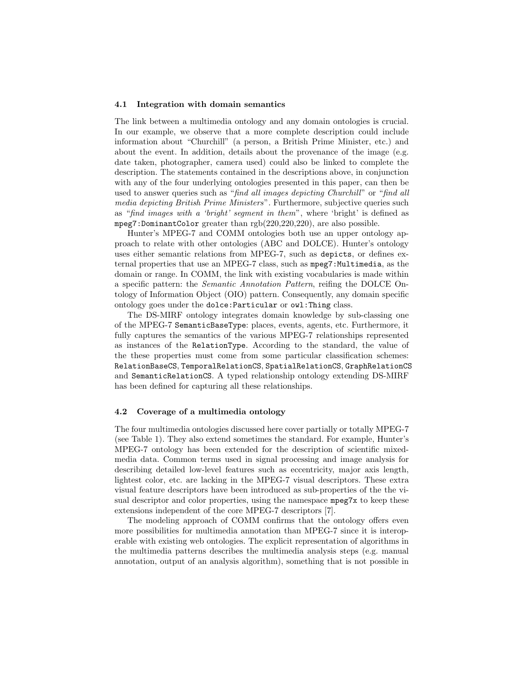#### 4.1 Integration with domain semantics

The link between a multimedia ontology and any domain ontologies is crucial. In our example, we observe that a more complete description could include information about "Churchill" (a person, a British Prime Minister, etc.) and about the event. In addition, details about the provenance of the image (e.g. date taken, photographer, camera used) could also be linked to complete the description. The statements contained in the descriptions above, in conjunction with any of the four underlying ontologies presented in this paper, can then be used to answer queries such as "find all images depicting Churchill" or "find all media depicting British Prime Ministers". Furthermore, subjective queries such as "find images with a 'bright' segment in them", where 'bright' is defined as mpeg7:DominantColor greater than rgb(220,220,220), are also possible.

Hunter's MPEG-7 and COMM ontologies both use an upper ontology approach to relate with other ontologies (ABC and DOLCE). Hunter's ontology uses either semantic relations from MPEG-7, such as depicts, or defines external properties that use an MPEG-7 class, such as mpeg7:Multimedia, as the domain or range. In COMM, the link with existing vocabularies is made within a specific pattern: the Semantic Annotation Pattern, reifing the DOLCE Ontology of Information Object (OIO) pattern. Consequently, any domain specific ontology goes under the dolce:Particular or owl:Thing class.

The DS-MIRF ontology integrates domain knowledge by sub-classing one of the MPEG-7 SemanticBaseType: places, events, agents, etc. Furthermore, it fully captures the semantics of the various MPEG-7 relationships represented as instances of the RelationType. According to the standard, the value of the these properties must come from some particular classification schemes: RelationBaseCS, TemporalRelationCS, SpatialRelationCS, GraphRelationCS and SemanticRelationCS. A typed relationship ontology extending DS-MIRF has been defined for capturing all these relationships.

### 4.2 Coverage of a multimedia ontology

The four multimedia ontologies discussed here cover partially or totally MPEG-7 (see Table 1). They also extend sometimes the standard. For example, Hunter's MPEG-7 ontology has been extended for the description of scientific mixedmedia data. Common terms used in signal processing and image analysis for describing detailed low-level features such as eccentricity, major axis length, lightest color, etc. are lacking in the MPEG-7 visual descriptors. These extra visual feature descriptors have been introduced as sub-properties of the the visual descriptor and color properties, using the namespace mpeg7x to keep these extensions independent of the core MPEG-7 descriptors [7].

The modeling approach of COMM confirms that the ontology offers even more possibilities for multimedia annotation than MPEG-7 since it is interoperable with existing web ontologies. The explicit representation of algorithms in the multimedia patterns describes the multimedia analysis steps (e.g. manual annotation, output of an analysis algorithm), something that is not possible in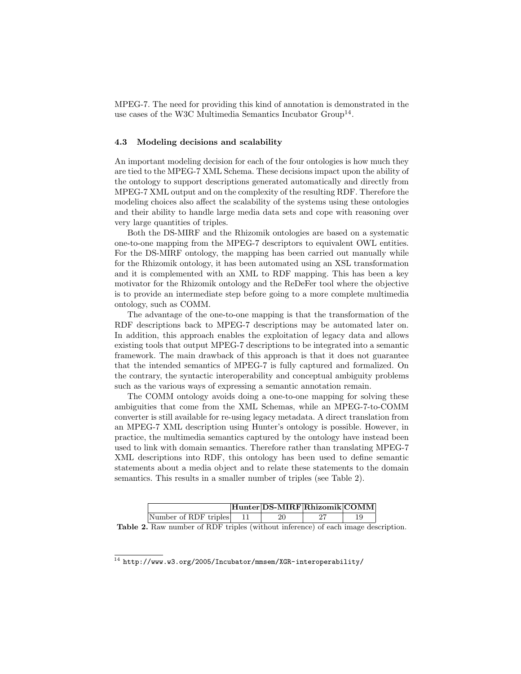MPEG-7. The need for providing this kind of annotation is demonstrated in the use cases of the W3C Multimedia Semantics Incubator Group<sup>14</sup>.

#### 4.3 Modeling decisions and scalability

An important modeling decision for each of the four ontologies is how much they are tied to the MPEG-7 XML Schema. These decisions impact upon the ability of the ontology to support descriptions generated automatically and directly from MPEG-7 XML output and on the complexity of the resulting RDF. Therefore the modeling choices also affect the scalability of the systems using these ontologies and their ability to handle large media data sets and cope with reasoning over very large quantities of triples.

Both the DS-MIRF and the Rhizomik ontologies are based on a systematic one-to-one mapping from the MPEG-7 descriptors to equivalent OWL entities. For the DS-MIRF ontology, the mapping has been carried out manually while for the Rhizomik ontology, it has been automated using an XSL transformation and it is complemented with an XML to RDF mapping. This has been a key motivator for the Rhizomik ontology and the ReDeFer tool where the objective is to provide an intermediate step before going to a more complete multimedia ontology, such as COMM.

The advantage of the one-to-one mapping is that the transformation of the RDF descriptions back to MPEG-7 descriptions may be automated later on. In addition, this approach enables the exploitation of legacy data and allows existing tools that output MPEG-7 descriptions to be integrated into a semantic framework. The main drawback of this approach is that it does not guarantee that the intended semantics of MPEG-7 is fully captured and formalized. On the contrary, the syntactic interoperability and conceptual ambiguity problems such as the various ways of expressing a semantic annotation remain.

The COMM ontology avoids doing a one-to-one mapping for solving these ambiguities that come from the XML Schemas, while an MPEG-7-to-COMM converter is still available for re-using legacy metadata. A direct translation from an MPEG-7 XML description using Hunter's ontology is possible. However, in practice, the multimedia semantics captured by the ontology have instead been used to link with domain semantics. Therefore rather than translating MPEG-7 XML descriptions into RDF, this ontology has been used to define semantic statements about a media object and to relate these statements to the domain semantics. This results in a smaller number of triples (see Table 2).

|                                   |  | Hunter DS-MIRF Rhizomik COMM |  |  |  |  |  |  |
|-----------------------------------|--|------------------------------|--|--|--|--|--|--|
| Number of RDF triples             |  |                              |  |  |  |  |  |  |
| י ו יו יו יו יו יותרות זו יותר הו |  |                              |  |  |  |  |  |  |

Table 2. Raw number of RDF triples (without inference) of each image description.

 $14$  http://www.w3.org/2005/Incubator/mmsem/XGR-interoperability/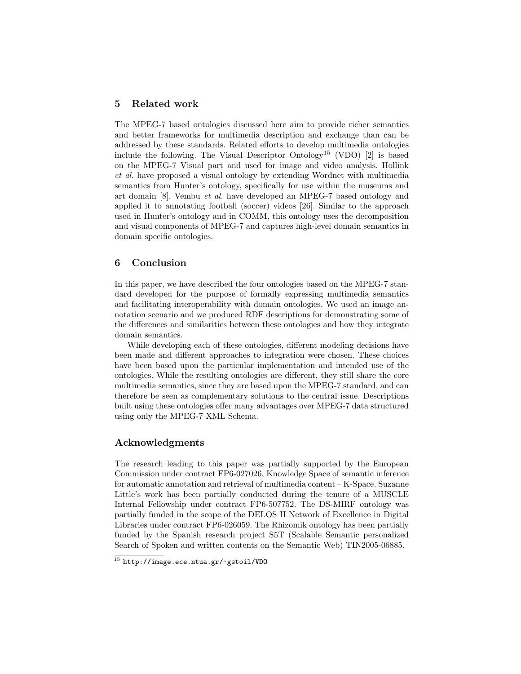# 5 Related work

The MPEG-7 based ontologies discussed here aim to provide richer semantics and better frameworks for multimedia description and exchange than can be addressed by these standards. Related efforts to develop multimedia ontologies include the following. The Visual Descriptor Ontology<sup>15</sup> (VDO) [2] is based on the MPEG-7 Visual part and used for image and video analysis. Hollink et al. have proposed a visual ontology by extending Wordnet with multimedia semantics from Hunter's ontology, specifically for use within the museums and art domain [8]. Vembu et al. have developed an MPEG-7 based ontology and applied it to annotating football (soccer) videos [26]. Similar to the approach used in Hunter's ontology and in COMM, this ontology uses the decomposition and visual components of MPEG-7 and captures high-level domain semantics in domain specific ontologies.

# 6 Conclusion

In this paper, we have described the four ontologies based on the MPEG-7 standard developed for the purpose of formally expressing multimedia semantics and facilitating interoperability with domain ontologies. We used an image annotation scenario and we produced RDF descriptions for demonstrating some of the differences and similarities between these ontologies and how they integrate domain semantics.

While developing each of these ontologies, different modeling decisions have been made and different approaches to integration were chosen. These choices have been based upon the particular implementation and intended use of the ontologies. While the resulting ontologies are different, they still share the core multimedia semantics, since they are based upon the MPEG-7 standard, and can therefore be seen as complementary solutions to the central issue. Descriptions built using these ontologies offer many advantages over MPEG-7 data structured using only the MPEG-7 XML Schema.

# Acknowledgments

The research leading to this paper was partially supported by the European Commission under contract FP6-027026, Knowledge Space of semantic inference for automatic annotation and retrieval of multimedia content – K-Space. Suzanne Little's work has been partially conducted during the tenure of a MUSCLE Internal Fellowship under contract FP6-507752. The DS-MIRF ontology was partially funded in the scope of the DELOS II Network of Excellence in Digital Libraries under contract FP6-026059. The Rhizomik ontology has been partially funded by the Spanish research project S5T (Scalable Semantic personalized Search of Spoken and written contents on the Semantic Web) TIN2005-06885.

 $^{15}$  http://image.ece.ntua.gr/~gstoil/VDO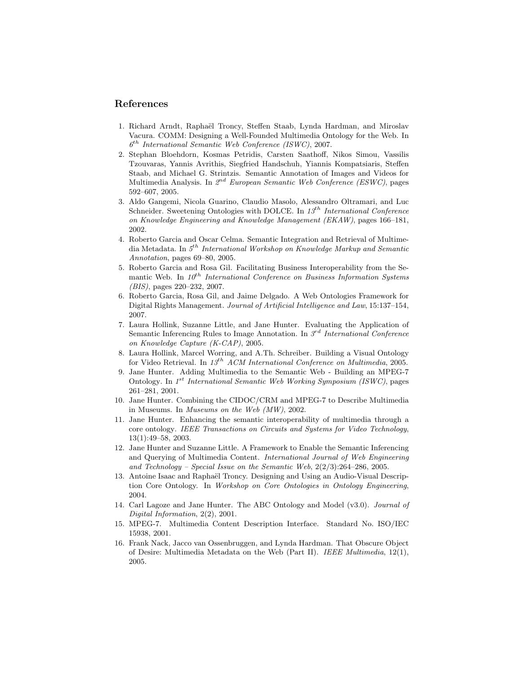# References

- 1. Richard Arndt, Raphaël Troncy, Steffen Staab, Lynda Hardman, and Miroslav Vacura. COMM: Designing a Well-Founded Multimedia Ontology for the Web. In  $6^{th}$  International Semantic Web Conference (ISWC), 2007.
- 2. Stephan Bloehdorn, Kosmas Petridis, Carsten Saathoff, Nikos Simou, Vassilis Tzouvaras, Yannis Avrithis, Siegfried Handschuh, Yiannis Kompatsiaris, Steffen Staab, and Michael G. Strintzis. Semantic Annotation of Images and Videos for Multimedia Analysis. In 2<sup>nd</sup> European Semantic Web Conference (ESWC), pages 592–607, 2005.
- 3. Aldo Gangemi, Nicola Guarino, Claudio Masolo, Alessandro Oltramari, and Luc Schneider. Sweetening Ontologies with DOLCE. In  $13^{th}$  International Conference on Knowledge Engineering and Knowledge Management (EKAW), pages 166–181, 2002.
- 4. Roberto Garcia and Oscar Celma. Semantic Integration and Retrieval of Multimedia Metadata. In  $5^{th}$  International Workshop on Knowledge Markup and Semantic Annotation, pages 69–80, 2005.
- 5. Roberto Garcia and Rosa Gil. Facilitating Business Interoperability from the Semantic Web. In  $10^{th}$  International Conference on Business Information Systems (BIS), pages 220–232, 2007.
- 6. Roberto Garcia, Rosa Gil, and Jaime Delgado. A Web Ontologies Framework for Digital Rights Management. Journal of Artificial Intelligence and Law, 15:137–154, 2007.
- 7. Laura Hollink, Suzanne Little, and Jane Hunter. Evaluating the Application of Semantic Inferencing Rules to Image Annotation. In  $3^{rd}$  International Conference on Knowledge Capture (K-CAP), 2005.
- 8. Laura Hollink, Marcel Worring, and A.Th. Schreiber. Building a Visual Ontology for Video Retrieval. In  $13^{th}$  ACM International Conference on Multimedia, 2005.
- 9. Jane Hunter. Adding Multimedia to the Semantic Web Building an MPEG-7 Ontology. In 1<sup>st</sup> International Semantic Web Working Symposium (ISWC), pages 261–281, 2001.
- 10. Jane Hunter. Combining the CIDOC/CRM and MPEG-7 to Describe Multimedia in Museums. In Museums on the Web (MW), 2002.
- 11. Jane Hunter. Enhancing the semantic interoperability of multimedia through a core ontology. IEEE Transactions on Circuits and Systems for Video Technology, 13(1):49–58, 2003.
- 12. Jane Hunter and Suzanne Little. A Framework to Enable the Semantic Inferencing and Querying of Multimedia Content. International Journal of Web Engineering and Technology – Special Issue on the Semantic Web, 2(2/3):264–286, 2005.
- 13. Antoine Isaac and Raphaël Troncy. Designing and Using an Audio-Visual Description Core Ontology. In Workshop on Core Ontologies in Ontology Engineering, 2004.
- 14. Carl Lagoze and Jane Hunter. The ABC Ontology and Model (v3.0). Journal of Digital Information, 2(2), 2001.
- 15. MPEG-7. Multimedia Content Description Interface. Standard No. ISO/IEC 15938, 2001.
- 16. Frank Nack, Jacco van Ossenbruggen, and Lynda Hardman. That Obscure Object of Desire: Multimedia Metadata on the Web (Part II). IEEE Multimedia, 12(1), 2005.